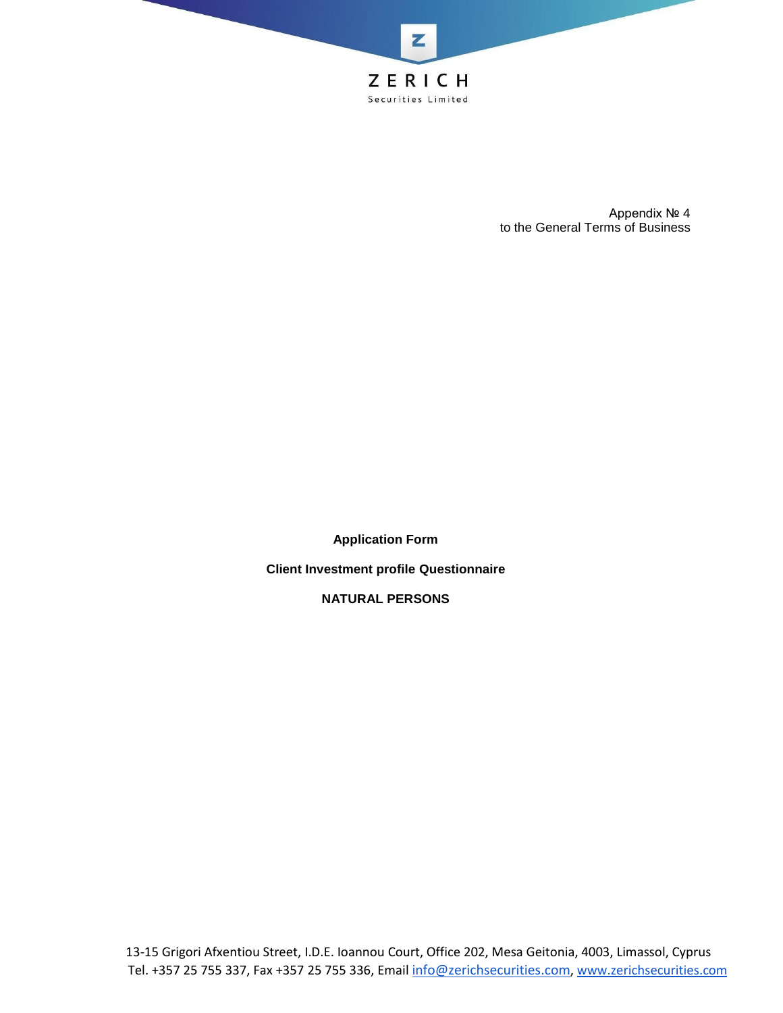

Appendix № 4 to the General Terms of Business

**Application Form**

**Client Investment profile Questionnaire**

**NATURAL PERSONS**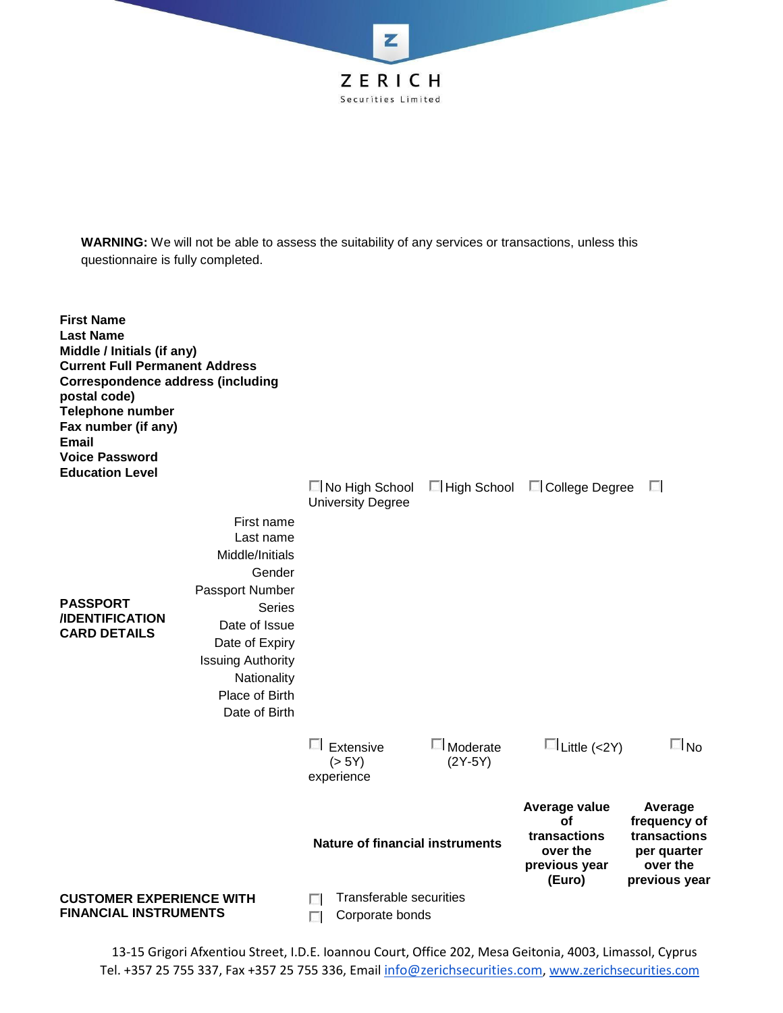

**WARNING:** We will not be able to assess the suitability of any services or transactions, unless this questionnaire is fully completed.



13-15 Grigori Afxentiou Street, I.D.E. Ioannou Court, Office 202, Mesa Geitonia, 4003, Limassol, Cyprus Tel. +357 25 755 337, Fax +357 25 755 336, Email [info@zerichsecurities.com](mailto:info@zerichsecurities.com)[, www.zerichsecurities.com](https://www.zerichsecurities.com/)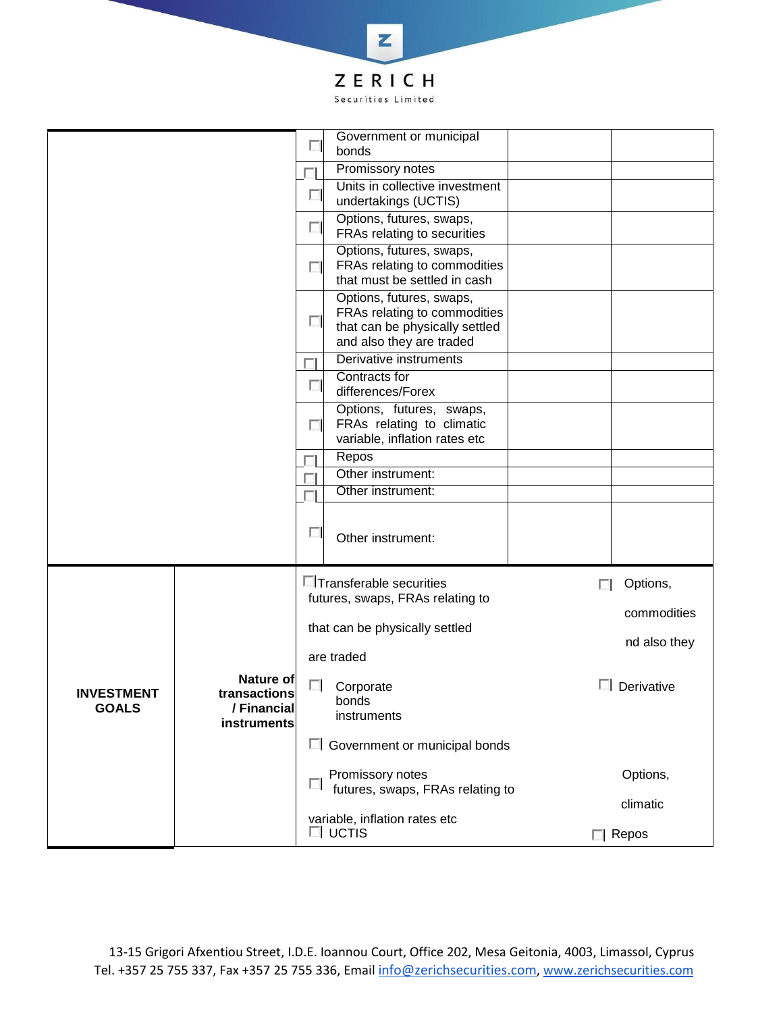

|                                   |                                                         | Government or municipal<br>$\Box$                                                                                                |                             |
|-----------------------------------|---------------------------------------------------------|----------------------------------------------------------------------------------------------------------------------------------|-----------------------------|
|                                   |                                                         | bonds<br>Promissory notes                                                                                                        |                             |
|                                   |                                                         | Units in collective investment<br>$\overline{\phantom{a}}$<br>undertakings (UCTIS)                                               |                             |
|                                   |                                                         | Options, futures, swaps,<br>$\Box$<br>FRAs relating to securities                                                                |                             |
|                                   |                                                         | Options, futures, swaps,<br>FRAs relating to commodities<br>$\overline{a}$<br>that must be settled in cash                       |                             |
|                                   |                                                         | Options, futures, swaps,<br>FRAs relating to commodities<br>$\Box$<br>that can be physically settled<br>and also they are traded |                             |
|                                   |                                                         | Derivative instruments                                                                                                           |                             |
|                                   |                                                         | Contracts for<br>$\Box$<br>differences/Forex                                                                                     |                             |
|                                   |                                                         | Options, futures, swaps,<br>FRAs relating to climatic<br>П<br>variable, inflation rates etc                                      |                             |
|                                   |                                                         | Repos                                                                                                                            |                             |
|                                   |                                                         | Other instrument:<br>Other instrument:                                                                                           |                             |
|                                   |                                                         | $\Box$<br>Other instrument:                                                                                                      |                             |
|                                   | Nature of<br>transactions<br>/ Financial<br>instruments | <b>E</b> Transferable securities<br>futures, swaps, FRAs relating to                                                             | Options,<br>п               |
|                                   |                                                         | that can be physically settled                                                                                                   | commodities<br>nd also they |
|                                   |                                                         | are traded                                                                                                                       |                             |
| <b>INVESTMENT</b><br><b>GOALS</b> |                                                         | П.<br>Corporate<br>bonds<br>instruments                                                                                          | $\Box$ Derivative           |
|                                   |                                                         | □ Government or municipal bonds                                                                                                  |                             |
|                                   |                                                         | Promissory notes<br>L.<br>futures, swaps, FRAs relating to                                                                       | Options,                    |
|                                   |                                                         | variable, inflation rates etc                                                                                                    | climatic                    |
|                                   |                                                         | $\Box$ UCTIS                                                                                                                     | $\Box$ Repos                |

13-15 Grigori Afxentiou Street, I.D.E. Ioannou Court, Office 202, Mesa Geitonia, 4003, Limassol, Cyprus Tel. +357 25 755 337, Fax +357 25 755 336, Email [info@zerichsecurities.com](mailto:info@zerichsecurities.com), [www.zerichsecurities.com](https://www.zerichsecurities.com/)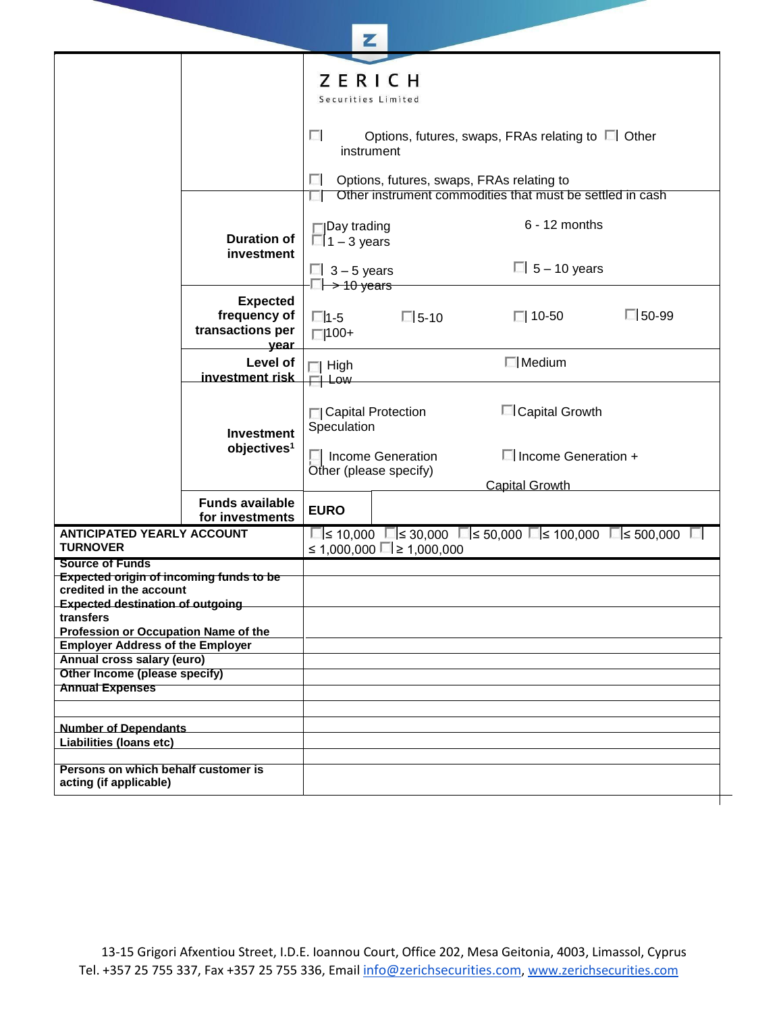|                                                                                 |                                                             | Z                                                                                                           |                                |                                                                                   |              |
|---------------------------------------------------------------------------------|-------------------------------------------------------------|-------------------------------------------------------------------------------------------------------------|--------------------------------|-----------------------------------------------------------------------------------|--------------|
|                                                                                 |                                                             | ZERICH<br>Securities Limited<br>п<br>Options, futures, swaps, FRAs relating to □ Other<br>instrument        |                                |                                                                                   |              |
|                                                                                 |                                                             | Options, futures, swaps, FRAs relating to<br>ш<br>Other instrument commodities that must be settled in cash |                                |                                                                                   |              |
|                                                                                 | <b>Duration of</b><br>investment                            | $\Box$ Day trading<br>$\Box$ 1 – 3 years<br>$\Box$ 3 - 5 years                                              |                                | $6 - 12$ months<br>$\Box$ 5 – 10 years                                            |              |
|                                                                                 |                                                             | $\square$ $\rightarrow$ 10 years                                                                            |                                |                                                                                   |              |
|                                                                                 | <b>Expected</b><br>frequency of<br>transactions per<br>year | $\Box$ 1-5<br>$\Box$ 100+                                                                                   | $\Box$ 5-10                    | $\Box$ 10-50                                                                      | $\Box$ 50-99 |
|                                                                                 | Level of<br>investment risk                                 | $\Box$ High<br>$\Box$ Low                                                                                   |                                | $\Box$ Medium                                                                     |              |
|                                                                                 | <b>Investment</b><br>objectives <sup>1</sup>                | □ Capital Protection<br>Speculation<br>Income Generation<br>Other (please specify)                          |                                | □ Capital Growth<br>$\Box$ Income Generation +                                    |              |
|                                                                                 | <b>Funds available</b><br>for investments                   | <b>EURO</b>                                                                                                 |                                | <b>Capital Growth</b>                                                             |              |
| <b>ANTICIPATED YEARLY ACCOUNT</b><br><b>TURNOVER</b>                            |                                                             |                                                                                                             | ≤ 1,000,000 $\Box$ ≥ 1,000,000 | $\Box$ s 10,000 $\Box$ s 30,000 $\Box$ s 50,000 $\Box$ s 100,000 $\Box$ s 500,000 | L.           |
| <b>Source of Funds</b>                                                          |                                                             |                                                                                                             |                                |                                                                                   |              |
| <b>Expected origin of incoming funds to be</b><br>credited in the account       |                                                             |                                                                                                             |                                |                                                                                   |              |
| <b>Expected destination of outgoing</b><br>transfers                            |                                                             |                                                                                                             |                                |                                                                                   |              |
| Profession or Occupation Name of the<br><b>Employer Address of the Employer</b> |                                                             |                                                                                                             |                                |                                                                                   |              |
| Annual cross salary (euro)                                                      |                                                             |                                                                                                             |                                |                                                                                   |              |
| Other Income (please specify)                                                   |                                                             |                                                                                                             |                                |                                                                                   |              |
| <b>Annual Expenses</b>                                                          |                                                             |                                                                                                             |                                |                                                                                   |              |
| <b>Number of Dependants</b><br>Liabilities (loans etc)                          |                                                             |                                                                                                             |                                |                                                                                   |              |
| Persons on which behalf customer is<br>acting (if applicable)                   |                                                             |                                                                                                             |                                |                                                                                   |              |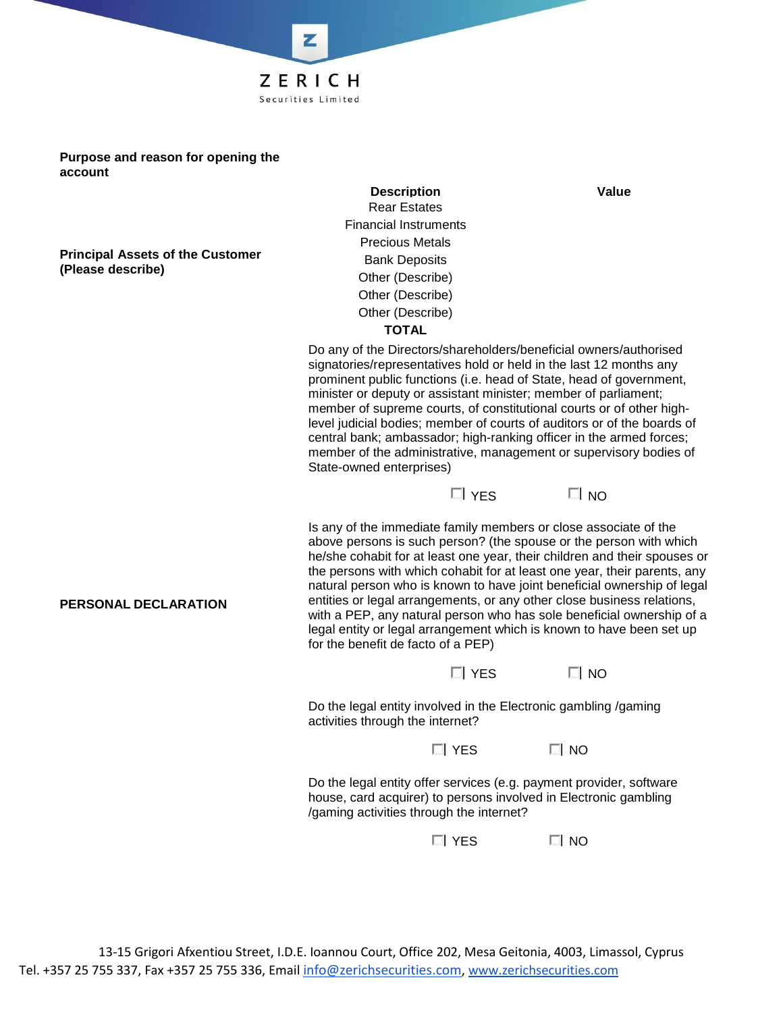**Purpose and reason for opening the account**

**Principal Assets of the Customer (Please describe)**

**PERSONAL DECLARATION**

**Description Value** Rear Estates Financial Instruments Precious Metals Bank Deposits Other (Describe) Other (Describe) Other (Describe) **TOTAL**

**7FRICH** Securities Limited

Do any of the Directors/shareholders/beneficial owners/authorised signatories/representatives hold or held in the last 12 months any prominent public functions (i.e. head of State, head of government, minister or deputy or assistant minister; member of parliament; member of supreme courts, of constitutional courts or of other highlevel judicial bodies; member of courts of auditors or of the boards of central bank; ambassador; high-ranking officer in the armed forces; member of the administrative, management or supervisory bodies of State-owned enterprises)



Is any of the immediate family members or close associate of the above persons is such person? (the spouse or the person with which he/she cohabit for at least one year, their children and their spouses or the persons with which cohabit for at least one year, their parents, any natural person who is known to have joint beneficial ownership of legal entities or legal arrangements, or any other close business relations, with a PEP, any natural person who has sole beneficial ownership of a legal entity or legal arrangement which is known to have been set up for the benefit de facto of a PEP)

| $\Box$ Yes | $\Box$ NO |
|------------|-----------|
|------------|-----------|

Do the legal entity involved in the Electronic gambling /gaming activities through the internet?

 $\Box$  YES  $\Box$  NO

Do the legal entity offer services (e.g. payment provider, software house, card acquirer) to persons involved in Electronic gambling /gaming activities through the internet?

 $\Box$  YES  $\Box$  NO

13-15 Grigori Afxentiou Street, I.D.E. Ioannou Court, Office 202, Mesa Geitonia, 4003, Limassol, Cyprus Tel. +357 25 755 337, Fax +357 25 755 336, Email [info@zerichsecurities.com](mailto:info@zerichsecurities.com), [www.zerichsecurities.com](https://www.zerichsecurities.com/)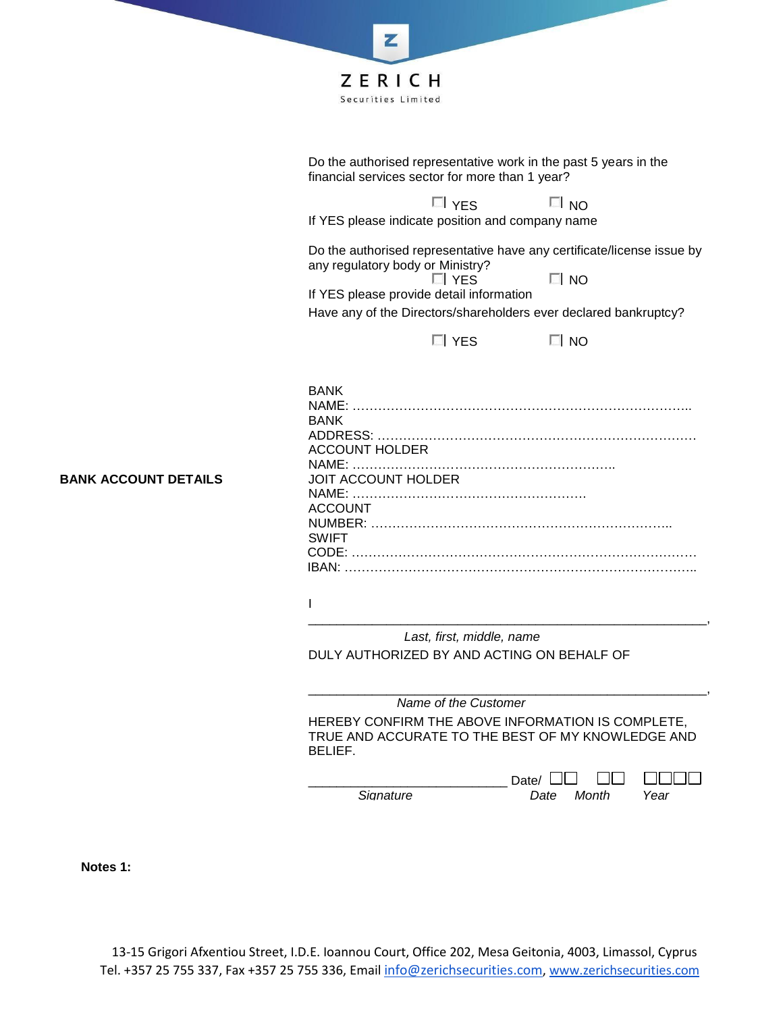

Do the authorised representative work in the past 5 years in the financial services sector for more than 1 year?

 $\Box$   $YES$   $\Box$  NO

If YES please indicate position and company name

Do the authorised representative have any certificate/license issue by any regulatory body or Ministry?<br>
I YES

 $\Box$  NO

If YES please provide detail information Have any of the Directors/shareholders ever declared bankruptcy?

 $\Box$  YES  $\Box$  NO

| <b>BANK</b>                |
|----------------------------|
|                            |
| <b>BANK</b>                |
|                            |
| ACCOUNT HOLDER             |
|                            |
| <b>JOIT ACCOUNT HOLDER</b> |
|                            |
| <b>ACCOUNT</b>             |
|                            |
| <b>SWIFT</b>               |
|                            |
|                            |

I

*Last, first, middle, name* DULY AUTHORIZED BY AND ACTING ON BEHALF OF

\_\_\_\_\_\_\_\_\_\_\_\_\_\_\_\_\_\_\_\_\_\_\_\_\_\_\_\_\_\_\_\_\_\_\_\_\_\_\_\_\_\_\_\_\_\_\_\_\_\_\_\_\_\_\_\_, *Name of the Customer* HEREBY CONFIRM THE ABOVE INFORMATION IS COMPLETE, TRUE AND ACCURATE TO THE BEST OF MY KNOWLEDGE AND BELIEF.

*Signature Date Month Year*

 $\Box$ 

**NNNN** 

\_\_\_\_\_\_\_\_\_\_\_\_\_\_\_\_\_\_\_\_\_\_\_\_\_\_\_\_\_\_\_\_\_\_\_\_\_\_\_\_\_\_\_\_\_\_\_\_\_\_\_\_\_\_\_\_,

\_\_\_\_\_\_\_\_\_\_\_\_\_\_\_\_\_\_\_\_\_\_\_\_\_\_\_\_ Date/

**Notes 1:**

**BANK ACCOUNT DETAILS**